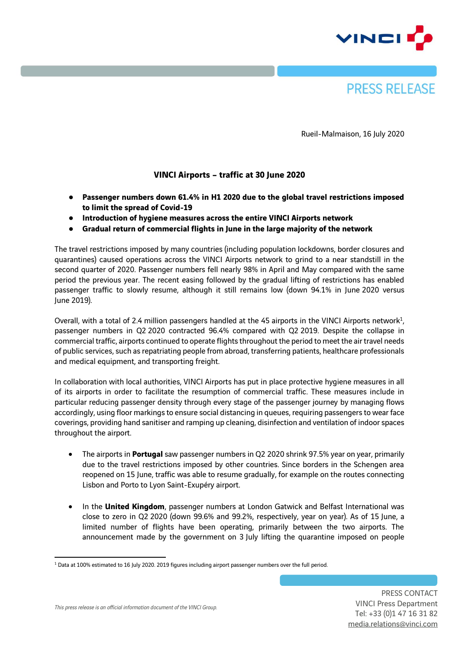



Rueil-Malmaison, 16 July 2020

### **VINCI Airports – traffic at 30 June 2020**

- **Passenger numbers down 61.4% in H1 2020 due to the global travel restrictions imposed to limit the spread of Covid-19**
- **Introduction of hygiene measures across the entire VINCI Airports network**
- **Gradual return of commercial flights in June in the large majority of the network**

The travel restrictions imposed by many countries (including population lockdowns, border closures and quarantines) caused operations across the VINCI Airports network to grind to a near standstill in the second quarter of 2020. Passenger numbers fell nearly 98% in April and May compared with the same period the previous year. The recent easing followed by the gradual lifting of restrictions has enabled passenger traffic to slowly resume, although it still remains low (down 94.1% in June 2020 versus June 2019).

Overall, with a total of 2.4 million passengers handled at the 45 airports in the VINCI Airports network $^1$ , passenger numbers in Q2 2020 contracted 96.4% compared with Q2 2019. Despite the collapse in commercial traffic, airports continued to operate flights throughout the period to meet the air travel needs of public services, such as repatriating people from abroad, transferring patients, healthcare professionals and medical equipment, and transporting freight.

In collaboration with local authorities, VINCI Airports has put in place protective hygiene measures in all of its airports in order to facilitate the resumption of commercial traffic. These measures include in particular reducing passenger density through every stage of the passenger journey by managing flows accordingly, using floor markings to ensure social distancing in queues, requiring passengers to wear face coverings, providing hand sanitiser and ramping up cleaning, disinfection and ventilation of indoor spaces throughout the airport.

- The airports in **Portugal** saw passenger numbers in Q2 2020 shrink 97.5% year on year, primarily due to the travel restrictions imposed by other countries. Since borders in the Schengen area reopened on 15 June, traffic was able to resume gradually, for example on the routes connecting Lisbon and Porto to Lyon Saint-Exupéry airport.
- In the **United Kingdom**, passenger numbers at London Gatwick and Belfast International was close to zero in Q2 2020 (down 99.6% and 99.2%, respectively, year on year). As of 15 June, a limited number of flights have been operating, primarily between the two airports. The announcement made by the government on 3 July lifting the quarantine imposed on people

 $\overline{a}$ <sup>1</sup> Data at 100% estimated to 16 July 2020. 2019 figures including airport passenger numbers over the full period.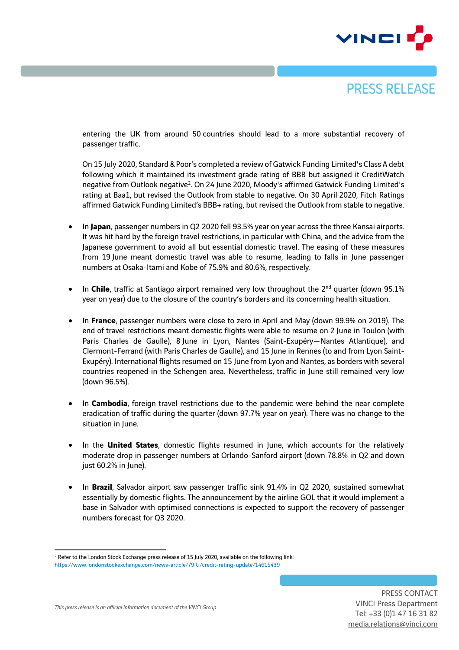



entering the UK from around 50 countries should lead to a more substantial recovery of passenger traffic.

On 15 July 2020, Standard & Poor's completed a review of Gatwick Funding Limited's Class A debt following which it maintained its investment grade rating of BBB but assigned it CreditWatch negative from Outlook negative<sup>2</sup>. On 24 June 2020, Moody's affirmed Gatwick Funding Limited's rating at Baa1, but revised the Outlook from stable to negative. On 30 April 2020, Fitch Ratings affirmed Gatwick Funding Limited's BBB+ rating, but revised the Outlook from stable to negative.

- In **Japan**, passenger numbers in Q2 2020 fell 93.5% year on year across the three Kansai airports. It was hit hard by the foreign travel restrictions, in particular with China, and the advice from the Japanese government to avoid all but essential domestic travel. The easing of these measures from 19 June meant domestic travel was able to resume, leading to falls in June passenger numbers at Osaka-Itami and Kobe of 75.9% and 80.6%, respectively.
- In Chile, traffic at Santiago airport remained very low throughout the 2<sup>nd</sup> quarter (down 95.1% year on year) due to the closure of the country's borders and its concerning health situation.
- In **France**, passenger numbers were close to zero in April and May (down 99.9% on 2019). The end of travel restrictions meant domestic flights were able to resume on 2 June in Toulon (with Paris Charles de Gaulle), 8 June in Lyon, Nantes (Saint-Exupéry—Nantes Atlantique), and Clermont-Ferrand (with Paris Charles de Gaulle), and 15 June in Rennes (to and from Lyon Saint-Exupéry). International flights resumed on 15 June from Lyon and Nantes, as borders with several countries reopened in the Schengen area. Nevertheless, traffic in June still remained very low (down 96.5%).
- In **Cambodia**, foreign travel restrictions due to the pandemic were behind the near complete eradication of traffic during the quarter (down 97.7% year on year). There was no change to the situation in June.
- In the **United States**, domestic flights resumed in June, which accounts for the relatively moderate drop in passenger numbers at Orlando-Sanford airport (down 78.8% in Q2 and down just 60.2% in June).
- In **Brazil**, Salvador airport saw passenger traffic sink 91.4% in Q2 2020, sustained somewhat essentially by domestic flights. The announcement by the airline GOL that it would implement a base in Salvador with optimised connections is expected to support the recovery of passenger numbers forecast for Q3 2020.

 $\ddot{\phantom{a}}$ <sup>2</sup> Refer to the London Stock Exchange press release of 15 July 2020, available on the following link: <https://www.londonstockexchange.com/news-article/79IU/credit-rating-update/14615439>

*This press release is an official information document of the VINCI Group.*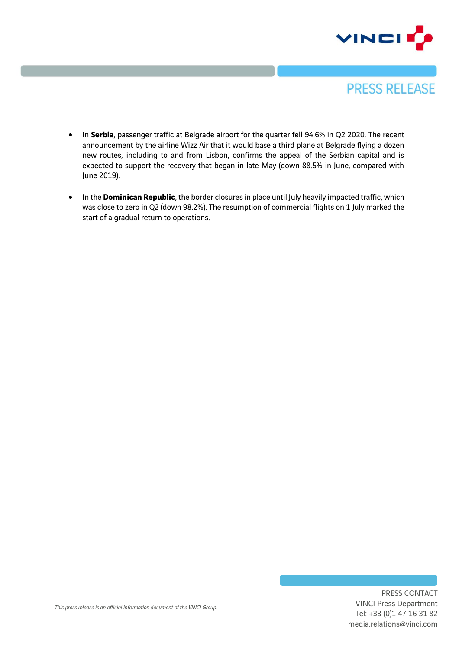



- In **Serbia**, passenger traffic at Belgrade airport for the quarter fell 94.6% in Q2 2020. The recent announcement by the airline Wizz Air that it would base a third plane at Belgrade flying a dozen new routes, including to and from Lisbon, confirms the appeal of the Serbian capital and is expected to support the recovery that began in late May (down 88.5% in June, compared with June 2019).
- In the **Dominican Republic**, the border closures in place until July heavily impacted traffic, which was close to zero in Q2 (down 98.2%). The resumption of commercial flights on 1 July marked the start of a gradual return to operations.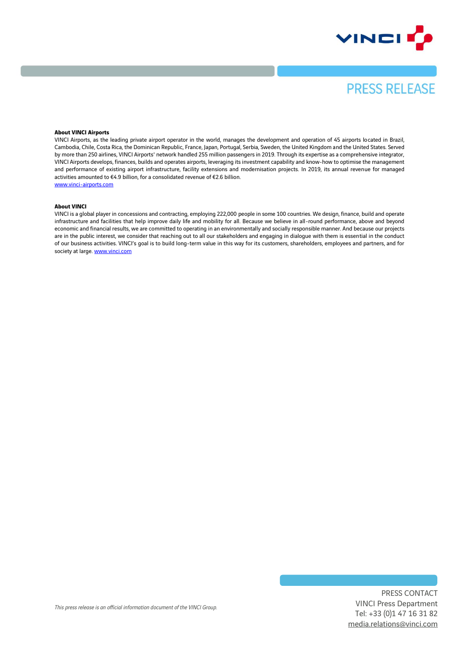



#### **About VINCI Airports**

VINCI Airports, as the leading private airport operator in the world, manages the development and operation of 45 airports located in Brazil, Cambodia, Chile, Costa Rica, the Dominican Republic, France, Japan, Portugal, Serbia, Sweden, the United Kingdom and the United States. Served by more than 250 airlines, VINCI Airports' network handled 255 million passengers in 2019. Through its expertise as a comprehensive integrator, VINCI Airports develops, finances, builds and operates airports, leveraging its investment capability and know-how to optimise the management and performance of existing airport infrastructure, facility extensions and modernisation projects. In 2019, its annual revenue for managed activities amounted to €4.9 billion, for a consolidated revenue of €2.6 billion. [www.vinci-airports.com](http://www.vinci-airports.com/)

#### **About VINCI**

VINCI is a global player in concessions and contracting, employing 222,000 people in some 100 countries. We design, finance, build and operate infrastructure and facilities that help improve daily life and mobility for all. Because we believe in all-round performance, above and beyond economic and financial results, we are committed to operating in an environmentally and socially responsible manner. And because our projects are in the public interest, we consider that reaching out to all our stakeholders and engaging in dialogue with them is essential in the conduct of our business activities. VINCI's goal is to build long-term value in this way for its customers, shareholders, employees and partners, and for society at large[. www.vinci.com](http://www.vinci.com/)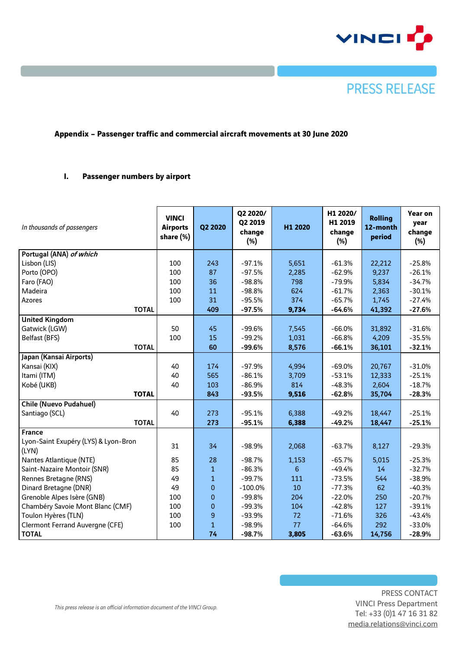



### **Appendix – Passenger traffic and commercial aircraft movements at 30 June 2020**

### **I. Passenger numbers by airport**

| In thousands of passengers                    | <b>VINCI</b><br><b>Airports</b><br>share (%) | Q2 2020      | Q2 2020/<br>Q2 2019<br>change<br>$(\%)$ | H1 2020 | H1 2020/<br>H1 2019<br>change<br>$(\%)$ | <b>Rolling</b><br>12-month<br>period | Year on<br>year<br>change<br>$(\%)$ |
|-----------------------------------------------|----------------------------------------------|--------------|-----------------------------------------|---------|-----------------------------------------|--------------------------------------|-------------------------------------|
| Portugal (ANA) of which                       |                                              |              |                                         |         |                                         |                                      |                                     |
| Lisbon (LIS)                                  | 100                                          | 243          | $-97.1%$                                | 5,651   | $-61.3%$                                | 22,212                               | $-25.8%$                            |
| Porto (OPO)                                   | 100                                          | 87           | $-97.5%$                                | 2,285   | $-62.9%$                                | 9,237                                | $-26.1%$                            |
| Faro (FAO)                                    | 100                                          | 36           | $-98.8%$                                | 798     | $-79.9%$                                | 5,834                                | $-34.7%$                            |
| Madeira                                       | 100                                          | 11           | $-98.8%$                                | 624     | $-61.7%$                                | 2,363                                | $-30.1%$                            |
| <b>Azores</b>                                 | 100                                          | 31           | $-95.5%$                                | 374     | $-65.7%$                                | 1,745                                | $-27.4%$                            |
| <b>TOTAL</b>                                  |                                              | 409          | $-97.5%$                                | 9,734   | $-64.6%$                                | 41,392                               | $-27.6%$                            |
| <b>United Kingdom</b>                         |                                              |              |                                         |         |                                         |                                      |                                     |
| Gatwick (LGW)                                 | 50                                           | 45           | $-99.6%$                                | 7,545   | $-66.0%$                                | 31,892                               | $-31.6%$                            |
| Belfast (BFS)                                 | 100                                          | 15           | $-99.2%$                                | 1,031   | $-66.8%$                                | 4,209                                | $-35.5%$                            |
| <b>TOTAL</b>                                  |                                              | 60           | $-99.6%$                                | 8,576   | $-66.1%$                                | 36,101                               | $-32.1%$                            |
| Japan (Kansai Airports)                       |                                              |              |                                         |         |                                         |                                      |                                     |
| Kansai (KIX)                                  | 40                                           | 174          | $-97.9%$                                | 4,994   | $-69.0%$                                | 20,767                               | $-31.0%$                            |
| Itami (ITM)                                   | 40                                           | 565          | $-86.1%$                                | 3,709   | $-53.1%$                                | 12,333                               | $-25.1%$                            |
| Kobé (UKB)                                    | 40                                           | 103          | $-86.9%$                                | 814     | $-48.3%$                                | 2,604                                | $-18.7%$                            |
| <b>TOTAL</b>                                  |                                              | 843          | $-93.5%$                                | 9,516   | $-62.8%$                                | 35,704                               | $-28.3%$                            |
| <b>Chile (Nuevo Pudahuel)</b>                 |                                              |              |                                         |         |                                         |                                      |                                     |
| Santiago (SCL)                                | 40                                           | 273          | $-95.1%$                                | 6,388   | $-49.2%$                                | 18,447                               | $-25.1%$                            |
| <b>TOTAL</b>                                  |                                              | 273          | $-95.1%$                                | 6,388   | $-49.2%$                                | 18,447                               | $-25.1%$                            |
| <b>France</b>                                 |                                              |              |                                         |         |                                         |                                      |                                     |
| Lyon-Saint Exupéry (LYS) & Lyon-Bron<br>(LYN) | 31                                           | 34           | $-98.9%$                                | 2,068   | $-63.7%$                                | 8,127                                | $-29.3%$                            |
| Nantes Atlantique (NTE)                       | 85                                           | 28           | $-98.7%$                                | 1,153   | $-65.7%$                                | 5,015                                | $-25.3%$                            |
| Saint-Nazaire Montoir (SNR)                   | 85                                           | $\mathbf{1}$ | $-86.3%$                                | 6       | $-49.4%$                                | 14                                   | $-32.7%$                            |
| Rennes Bretagne (RNS)                         | 49                                           | $\mathbf{1}$ | $-99.7%$                                | 111     | $-73.5%$                                | 544                                  | $-38.9%$                            |
| Dinard Bretagne (DNR)                         | 49                                           | $\mathbf{0}$ | $-100.0\%$                              | 10      | $-77.3%$                                | 62                                   | $-40.3%$                            |
| Grenoble Alpes Isère (GNB)                    | 100                                          | $\mathbf{0}$ | $-99.8%$                                | 204     | $-22.0%$                                | 250                                  | $-20.7%$                            |
| Chambéry Savoie Mont Blanc (CMF)              | 100                                          | $\mathbf{0}$ | $-99.3%$                                | 104     | $-42.8%$                                | 127                                  | $-39.1%$                            |
| Toulon Hyères (TLN)                           | 100                                          | 9            | $-93.9%$                                | 72      | $-71.6%$                                | 326                                  | $-43.4%$                            |
| <b>Clermont Ferrand Auvergne (CFE)</b>        | 100                                          | $\mathbf{1}$ | $-98.9%$                                | 77      | $-64.6%$                                | 292                                  | $-33.0%$                            |
| <b>TOTAL</b>                                  |                                              | 74           | $-98.7%$                                | 3,805   | $-63.6%$                                | 14,756                               | $-28.9%$                            |

*This press release is an official information document of the VINCI Group.*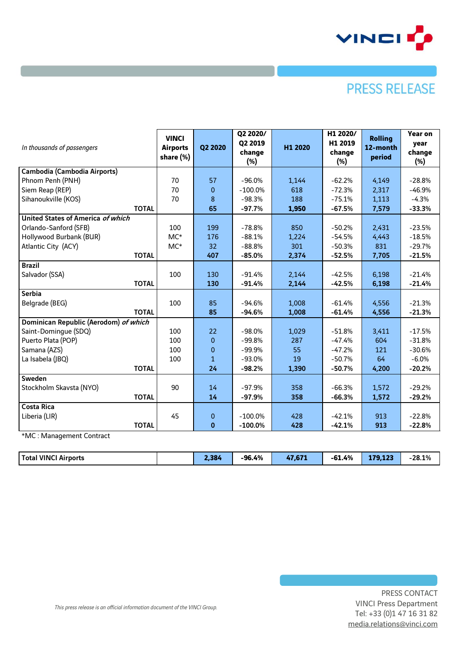

# **PRESS RELEASE**

| In thousands of passengers            | <b>VINCI</b><br><b>Airports</b><br>share (%) | Q2 2020      | Q2 2020/<br>Q2 2019<br>change<br>$(\%)$ | H1 2020 | H1 2020/<br>H1 2019<br>change<br>$(\%)$ | <b>Rolling</b><br>12-month<br>period | Year on<br>year<br>change<br>$(\%)$ |
|---------------------------------------|----------------------------------------------|--------------|-----------------------------------------|---------|-----------------------------------------|--------------------------------------|-------------------------------------|
| Cambodia (Cambodia Airports)          |                                              |              |                                         |         |                                         |                                      |                                     |
| Phnom Penh (PNH)                      | 70                                           | 57           | $-96.0%$                                | 1,144   | $-62.2%$                                | 4,149                                | $-28.8%$                            |
| Siem Reap (REP)                       | 70                                           | $\mathbf{0}$ | $-100.0\%$                              | 618     | $-72.3%$                                | 2,317                                | $-46.9%$                            |
| Sihanoukville (KOS)                   | 70                                           | 8            | $-98.3%$                                | 188     | $-75.1%$                                | 1,113                                | $-4.3%$                             |
| <b>TOTAL</b>                          |                                              | 65           | $-97.7%$                                | 1,950   | $-67.5%$                                | 7,579                                | $-33.3%$                            |
| United States of America of which     |                                              |              |                                         |         |                                         |                                      |                                     |
| Orlando-Sanford (SFB)                 | 100                                          | 199          | $-78.8%$                                | 850     | $-50.2%$                                | 2,431                                | $-23.5%$                            |
| Hollywood Burbank (BUR)               | $MC*$                                        | 176          | $-88.1%$                                | 1,224   | $-54.5%$                                | 4,443                                | $-18.5%$                            |
| Atlantic City (ACY)                   | $MC*$                                        | 32           | $-88.8%$                                | 301     | $-50.3%$                                | 831                                  | $-29.7%$                            |
| <b>TOTAL</b>                          |                                              | 407          | $-85.0%$                                | 2,374   | $-52.5%$                                | 7,705                                | $-21.5%$                            |
| <b>Brazil</b>                         |                                              |              |                                         |         |                                         |                                      |                                     |
| Salvador (SSA)                        | 100                                          | 130          | $-91.4%$                                | 2,144   | $-42.5%$                                | 6,198                                | $-21.4%$                            |
| <b>TOTAL</b>                          |                                              | 130          | $-91.4%$                                | 2,144   | $-42.5%$                                | 6,198                                | $-21.4%$                            |
| <b>Serbia</b>                         |                                              |              |                                         |         |                                         |                                      |                                     |
| Belgrade (BEG)                        | 100                                          | 85           | $-94.6%$                                | 1,008   | $-61.4%$                                | 4,556                                | $-21.3%$                            |
| <b>TOTAL</b>                          |                                              | 85           | $-94.6%$                                | 1,008   | $-61.4%$                                | 4,556                                | $-21.3%$                            |
| Dominican Republic (Aerodom) of which |                                              |              |                                         |         |                                         |                                      |                                     |
| Saint-Domingue (SDQ)                  | 100                                          | 22           | $-98.0%$                                | 1,029   | $-51.8%$                                | 3,411                                | $-17.5%$                            |
| Puerto Plata (POP)                    | 100                                          | $\mathbf 0$  | $-99.8%$                                | 287     | $-47.4%$                                | 604                                  | $-31.8%$                            |
| Samana (AZS)                          | 100                                          | 0            | $-99.9%$                                | 55      | $-47.2%$                                | 121                                  | $-30.6%$                            |
| La Isabela (JBQ)                      | 100                                          | $\mathbf{1}$ | $-93.0%$                                | 19      | $-50.7%$                                | 64                                   | $-6.0%$                             |
| <b>TOTAL</b>                          |                                              | 24           | $-98.2%$                                | 1,390   | $-50.7%$                                | 4,200                                | $-20.2%$                            |
| Sweden                                |                                              |              |                                         |         |                                         |                                      |                                     |
| Stockholm Skavsta (NYO)               | 90                                           | 14           | $-97.9%$                                | 358     | $-66.3%$                                | 1,572                                | $-29.2%$                            |
| <b>TOTAL</b>                          |                                              | 14           | $-97.9%$                                | 358     | $-66.3%$                                | 1,572                                | $-29.2%$                            |
| <b>Costa Rica</b>                     |                                              |              |                                         |         |                                         |                                      |                                     |
| Liberia (LIR)                         | 45                                           | $\pmb{0}$    | $-100.0\%$                              | 428     | $-42.1%$                                | 913                                  | $-22.8%$                            |
| <b>TOTAL</b>                          |                                              | $\mathbf 0$  | $-100.0\%$                              | 428     | $-42.1%$                                | 913                                  | $-22.8%$                            |
| $*MC \cdot M$                         |                                              |              |                                         |         |                                         |                                      |                                     |

\*MC : Management Contract

| <b>Total VINCI</b><br>Airports | ו ההי<br>387 | -96.4% | <b>ATA</b><br>. וס, | $-61.4%$ | 170 199<br><b>J.IA</b> | $-28.1%$ |
|--------------------------------|--------------|--------|---------------------|----------|------------------------|----------|
|--------------------------------|--------------|--------|---------------------|----------|------------------------|----------|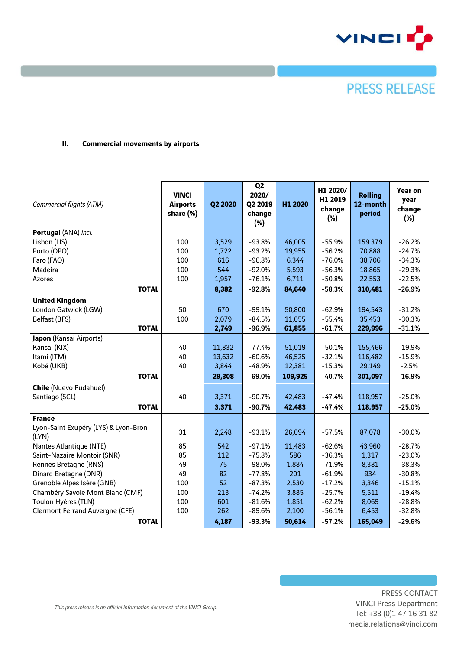

## **PRESS RELEASE**

#### **II. Commercial movements by airports**

|                                        |                 |         | Q <sub>2</sub> |         |                     |                |                |
|----------------------------------------|-----------------|---------|----------------|---------|---------------------|----------------|----------------|
|                                        | <b>VINCI</b>    |         | 2020/          |         | H1 2020/<br>H1 2019 | <b>Rolling</b> | <b>Year on</b> |
| Commercial flights (ATM)               | <b>Airports</b> | Q2 2020 | Q2 2019        | H1 2020 | change              | 12-month       | year<br>change |
|                                        | share (%)       |         | change         |         | $(\%)$              | period         | $(\%)$         |
|                                        |                 |         | $(\%)$         |         |                     |                |                |
| Portugal (ANA) incl.                   |                 |         |                |         |                     |                |                |
| Lisbon (LIS)                           | 100             | 3,529   | $-93.8%$       | 46,005  | $-55.9%$            | 159.379        | $-26.2%$       |
| Porto (OPO)                            | 100             | 1,722   | $-93.2%$       | 19,955  | $-56.2%$            | 70,888         | $-24.7%$       |
| Faro (FAO)                             | 100             | 616     | $-96.8%$       | 6,344   | $-76.0%$            | 38,706         | $-34.3%$       |
| Madeira                                | 100             | 544     | $-92.0%$       | 5,593   | $-56.3%$            | 18,865         | $-29.3%$       |
| Azores                                 | 100             | 1,957   | $-76.1%$       | 6,711   | $-50.8%$            | 22,553         | $-22.5%$       |
| <b>TOTAL</b>                           |                 | 8,382   | $-92.8%$       | 84,640  | $-58.3%$            | 310,481        | $-26.9%$       |
| <b>United Kingdom</b>                  |                 |         |                |         |                     |                |                |
| London Gatwick (LGW)                   | 50              | 670     | $-99.1%$       | 50,800  | $-62.9%$            | 194,543        | $-31.2%$       |
| <b>Belfast (BFS)</b>                   | 100             | 2,079   | $-84.5%$       | 11,055  | $-55.4%$            | 35,453         | $-30.3%$       |
| <b>TOTAL</b>                           |                 | 2,749   | $-96.9%$       | 61,855  | $-61.7%$            | 229,996        | $-31.1%$       |
| Japon (Kansai Airports)                |                 |         |                |         |                     |                |                |
| Kansai (KIX)                           | 40              | 11,832  | $-77.4%$       | 51,019  | $-50.1%$            | 155,466        | $-19.9%$       |
| Itami (ITM)                            | 40              | 13,632  | $-60.6%$       | 46,525  | $-32.1%$            | 116,482        | $-15.9%$       |
| Kobé (UKB)                             | 40              | 3,844   | $-48.9%$       | 12,381  | $-15.3%$            | 29,149         | $-2.5%$        |
| <b>TOTAL</b>                           |                 | 29,308  | $-69.0%$       | 109,925 | $-40.7%$            | 301,097        | $-16.9%$       |
| <b>Chile (Nuevo Pudahuel)</b>          |                 |         |                |         |                     |                |                |
| Santiago (SCL)                         | 40              | 3,371   | $-90.7%$       | 42,483  | $-47.4%$            | 118,957        | $-25.0%$       |
| <b>TOTAL</b>                           |                 | 3,371   | $-90.7%$       | 42,483  | $-47.4%$            | 118,957        | $-25.0%$       |
| <b>France</b>                          |                 |         |                |         |                     |                |                |
| Lyon-Saint Exupéry (LYS) & Lyon-Bron   |                 |         |                |         |                     |                |                |
| (LYN)                                  | 31              | 2,248   | $-93.1%$       | 26,094  | $-57.5%$            | 87,078         | $-30.0%$       |
| Nantes Atlantique (NTE)                | 85              | 542     | $-97.1%$       | 11,483  | $-62.6%$            | 43,960         | $-28.7%$       |
| Saint-Nazaire Montoir (SNR)            | 85              | 112     | $-75.8%$       | 586     | $-36.3%$            | 1,317          | $-23.0%$       |
| Rennes Bretagne (RNS)                  | 49              | 75      | $-98.0%$       | 1,884   | $-71.9%$            | 8,381          | $-38.3%$       |
| Dinard Bretagne (DNR)                  | 49              | 82      | $-77.8%$       | 201     | $-61.9%$            | 934            | $-30.8%$       |
| Grenoble Alpes Isère (GNB)             | 100             | 52      | $-87.3%$       | 2,530   | $-17.2%$            | 3,346          | $-15.1%$       |
| Chambéry Savoie Mont Blanc (CMF)       | 100             | 213     | $-74.2%$       | 3,885   | $-25.7%$            | 5,511          | $-19.4%$       |
| Toulon Hyères (TLN)                    | 100             | 601     | $-81.6%$       | 1,851   | $-62.2%$            | 8,069          | $-28.8%$       |
| <b>Clermont Ferrand Auvergne (CFE)</b> | 100             | 262     | $-89.6%$       | 2,100   | $-56.1%$            | 6,453          | $-32.8%$       |
| <b>TOTAL</b>                           |                 | 4,187   | $-93.3%$       | 50,614  | $-57.2%$            | 165,049        | $-29.6%$       |

PRESS CONTACT VINCI Press Department Tel: +33 (0)1 47 16 31 82 [media.relations@vinci.com](mailto:maxence.naouri@vinci.com)

*This press release is an official information document of the VINCI Group.*